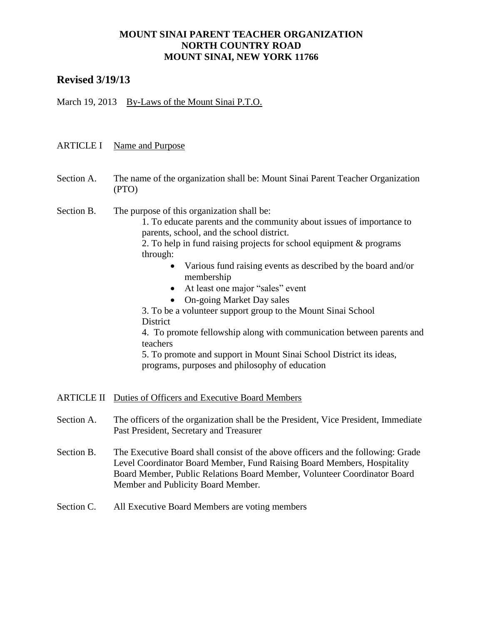# **Revised 3/19/13**

March 19, 2013 By-Laws of the Mount Sinai P.T.O.

### ARTICLE I Name and Purpose

Section A. The name of the organization shall be: Mount Sinai Parent Teacher Organization (PTO)

#### Section B. The purpose of this organization shall be:

1. To educate parents and the community about issues of importance to parents, school, and the school district.

2. To help in fund raising projects for school equipment & programs through:

- Various fund raising events as described by the board and/or membership
- At least one major "sales" event
- On-going Market Day sales

3. To be a volunteer support group to the Mount Sinai School District

4. To promote fellowship along with communication between parents and teachers

5. To promote and support in Mount Sinai School District its ideas, programs, purposes and philosophy of education

ARTICLE II Duties of Officers and Executive Board Members

- Section A. The officers of the organization shall be the President, Vice President, Immediate Past President, Secretary and Treasurer
- Section B. The Executive Board shall consist of the above officers and the following: Grade Level Coordinator Board Member, Fund Raising Board Members, Hospitality Board Member, Public Relations Board Member, Volunteer Coordinator Board Member and Publicity Board Member.
- Section C. All Executive Board Members are voting members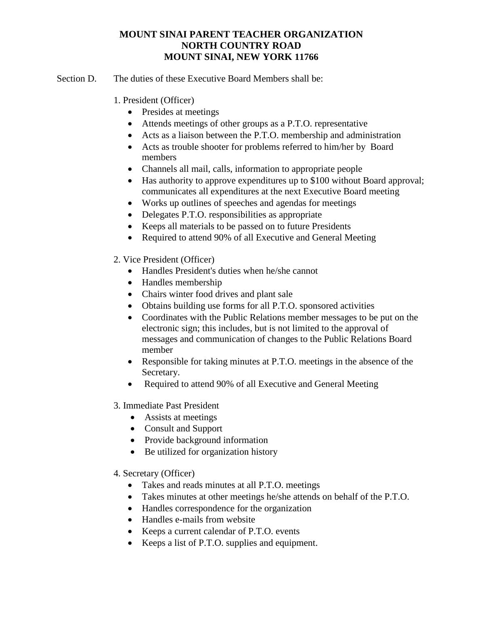- Section D. The duties of these Executive Board Members shall be:
	- 1. President (Officer)
		- Presides at meetings
		- Attends meetings of other groups as a P.T.O. representative
		- Acts as a liaison between the P.T.O. membership and administration
		- Acts as trouble shooter for problems referred to him/her by Board members
		- Channels all mail, calls, information to appropriate people
		- Has authority to approve expenditures up to \$100 without Board approval; communicates all expenditures at the next Executive Board meeting
		- Works up outlines of speeches and agendas for meetings
		- Delegates P.T.O. responsibilities as appropriate
		- Keeps all materials to be passed on to future Presidents
		- Required to attend 90% of all Executive and General Meeting
	- 2. Vice President (Officer)
		- Handles President's duties when he/she cannot
		- Handles membership
		- Chairs winter food drives and plant sale
		- Obtains building use forms for all P.T.O. sponsored activities
		- Coordinates with the Public Relations member messages to be put on the electronic sign; this includes, but is not limited to the approval of messages and communication of changes to the Public Relations Board member
		- Responsible for taking minutes at P.T.O. meetings in the absence of the Secretary.
		- Required to attend 90% of all Executive and General Meeting
	- 3. Immediate Past President
		- Assists at meetings
		- Consult and Support
		- Provide background information
		- Be utilized for organization history
	- 4. Secretary (Officer)
		- Takes and reads minutes at all P.T.O. meetings
		- Takes minutes at other meetings he/she attends on behalf of the P.T.O.
		- Handles correspondence for the organization
		- Handles e-mails from website
		- Keeps a current calendar of P.T.O. events
		- Keeps a list of P.T.O. supplies and equipment.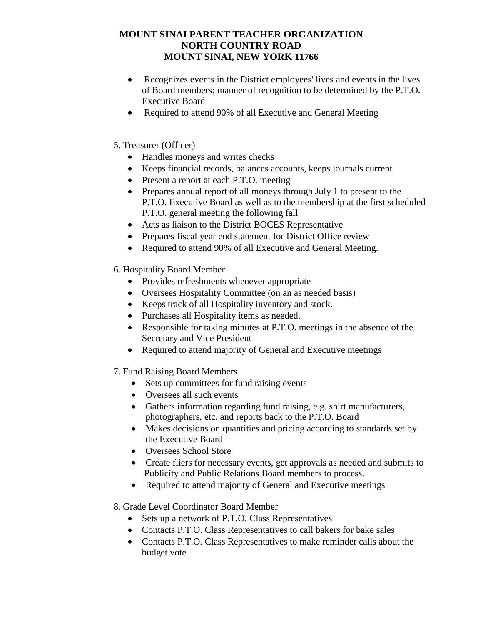- Recognizes events in the District employees' lives and events in the lives of Board members; manner of recognition to be determined by the P.T.O. Executive Board
- Required to attend 90% of all Executive and General Meeting
- 5. Treasurer (Officer)
	- Handles moneys and writes checks
	- Keeps financial records, balances accounts, keeps journals current
	- Present a report at each P.T.O. meeting
	- Prepares annual report of all moneys through July 1 to present to the P.T.O. Executive Board as well as to the membership at the first scheduled P.T.O. general meeting the following fall
	- Acts as liaison to the District BOCES Representative
	- Prepares fiscal year end statement for District Office review
	- Required to attend 90% of all Executive and General Meeting.
- 6. Hospitality Board Member
	- Provides refreshments whenever appropriate
	- Oversees Hospitality Committee (on an as needed basis)
	- Keeps track of all Hospitality inventory and stock.
	- Purchases all Hospitality items as needed.
	- Responsible for taking minutes at P.T.O. meetings in the absence of the Secretary and Vice President
	- Required to attend majority of General and Executive meetings
- 7*.* Fund Raising Board Members
	- Sets up committees for fund raising events
	- Oversees all such events
	- Gathers information regarding fund raising, e.g. shirt manufacturers, photographers, etc. and reports back to the P.T.O. Board
	- Makes decisions on quantities and pricing according to standards set by the Executive Board
	- Oversees School Store
	- Create fliers for necessary events, get approvals as needed and submits to Publicity and Public Relations Board members to process.
	- Required to attend majority of General and Executive meetings
- 8. Grade Level Coordinator Board Member
	- Sets up a network of P.T.O. Class Representatives
	- Contacts P.T.O. Class Representatives to call bakers for bake sales
	- Contacts P.T.O. Class Representatives to make reminder calls about the budget vote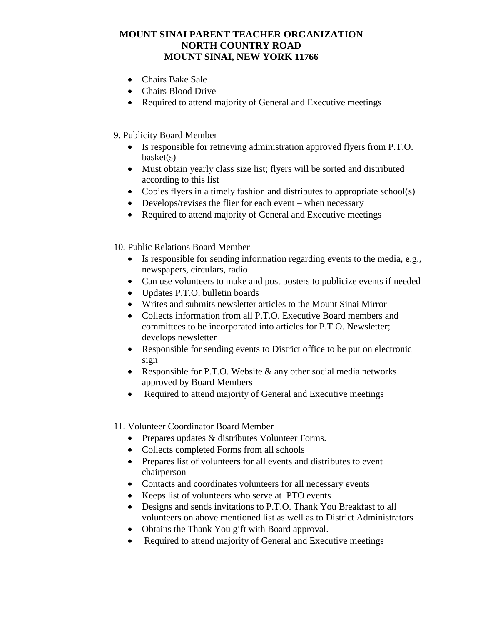- Chairs Bake Sale
- Chairs Blood Drive
- Required to attend majority of General and Executive meetings

## 9. Publicity Board Member

- Is responsible for retrieving administration approved flyers from P.T.O. basket(s)
- Must obtain yearly class size list; flyers will be sorted and distributed according to this list
- Copies flyers in a timely fashion and distributes to appropriate school(s)
- Develops/revises the flier for each event when necessary
- Required to attend majority of General and Executive meetings
- 10. Public Relations Board Member
	- Is responsible for sending information regarding events to the media, e.g., newspapers, circulars, radio
	- Can use volunteers to make and post posters to publicize events if needed
	- Updates P.T.O. bulletin boards
	- Writes and submits newsletter articles to the Mount Sinai Mirror
	- Collects information from all P.T.O. Executive Board members and committees to be incorporated into articles for P.T.O. Newsletter; develops newsletter
	- Responsible for sending events to District office to be put on electronic sign
	- Responsible for P.T.O. Website & any other social media networks approved by Board Members
	- Required to attend majority of General and Executive meetings

### 11. Volunteer Coordinator Board Member

- Prepares updates & distributes Volunteer Forms.
- Collects completed Forms from all schools
- Prepares list of volunteers for all events and distributes to event chairperson
- Contacts and coordinates volunteers for all necessary events
- Keeps list of volunteers who serve at PTO events
- Designs and sends invitations to P.T.O. Thank You Breakfast to all volunteers on above mentioned list as well as to District Administrators
- Obtains the Thank You gift with Board approval.
- Required to attend majority of General and Executive meetings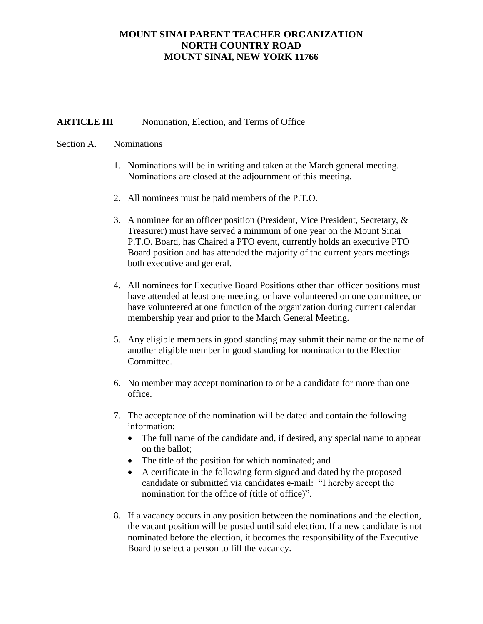### **ARTICLE III** Nomination, Election, and Terms of Office

#### Section A. Nominations

- 1. Nominations will be in writing and taken at the March general meeting. Nominations are closed at the adjournment of this meeting.
- 2. All nominees must be paid members of the P.T.O.
- 3. A nominee for an officer position (President, Vice President, Secretary, & Treasurer) must have served a minimum of one year on the Mount Sinai P.T.O. Board, has Chaired a PTO event, currently holds an executive PTO Board position and has attended the majority of the current years meetings both executive and general.
- 4. All nominees for Executive Board Positions other than officer positions must have attended at least one meeting, or have volunteered on one committee, or have volunteered at one function of the organization during current calendar membership year and prior to the March General Meeting.
- 5. Any eligible members in good standing may submit their name or the name of another eligible member in good standing for nomination to the Election Committee.
- 6. No member may accept nomination to or be a candidate for more than one office.
- 7. The acceptance of the nomination will be dated and contain the following information:
	- The full name of the candidate and, if desired, any special name to appear on the ballot;
	- The title of the position for which nominated; and
	- A certificate in the following form signed and dated by the proposed candidate or submitted via candidates e-mail: "I hereby accept the nomination for the office of (title of office)".
- 8. If a vacancy occurs in any position between the nominations and the election, the vacant position will be posted until said election. If a new candidate is not nominated before the election, it becomes the responsibility of the Executive Board to select a person to fill the vacancy.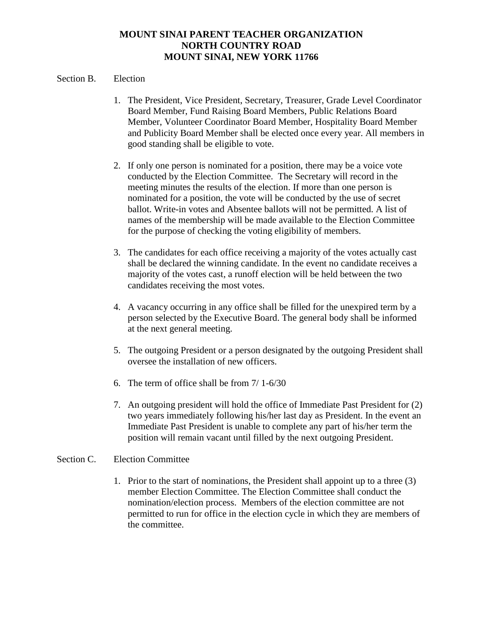### Section B. Election

- 1. The President, Vice President, Secretary, Treasurer, Grade Level Coordinator Board Member, Fund Raising Board Members, Public Relations Board Member, Volunteer Coordinator Board Member, Hospitality Board Member and Publicity Board Member shall be elected once every year. All members in good standing shall be eligible to vote.
- 2. If only one person is nominated for a position, there may be a voice vote conducted by the Election Committee. The Secretary will record in the meeting minutes the results of the election. If more than one person is nominated for a position, the vote will be conducted by the use of secret ballot. Write-in votes and Absentee ballots will not be permitted. A list of names of the membership will be made available to the Election Committee for the purpose of checking the voting eligibility of members.
- 3. The candidates for each office receiving a majority of the votes actually cast shall be declared the winning candidate. In the event no candidate receives a majority of the votes cast, a runoff election will be held between the two candidates receiving the most votes.
- 4. A vacancy occurring in any office shall be filled for the unexpired term by a person selected by the Executive Board. The general body shall be informed at the next general meeting.
- 5. The outgoing President or a person designated by the outgoing President shall oversee the installation of new officers.
- 6. The term of office shall be from 7/ 1-6/30
- 7. An outgoing president will hold the office of Immediate Past President for (2) two years immediately following his/her last day as President. In the event an Immediate Past President is unable to complete any part of his/her term the position will remain vacant until filled by the next outgoing President.

### Section C. Election Committee

1. Prior to the start of nominations, the President shall appoint up to a three (3) member Election Committee. The Election Committee shall conduct the nomination/election process. Members of the election committee are not permitted to run for office in the election cycle in which they are members of the committee.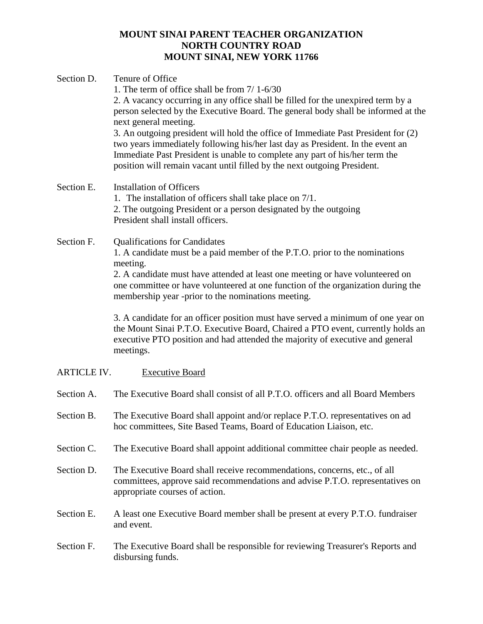| Section D.         | Tenure of Office<br>1. The term of office shall be from $7/1-6/30$<br>2. A vacancy occurring in any office shall be filled for the unexpired term by a<br>person selected by the Executive Board. The general body shall be informed at the<br>next general meeting.<br>3. An outgoing president will hold the office of Immediate Past President for (2)<br>two years immediately following his/her last day as President. In the event an<br>Immediate Past President is unable to complete any part of his/her term the<br>position will remain vacant until filled by the next outgoing President.                          |
|--------------------|---------------------------------------------------------------------------------------------------------------------------------------------------------------------------------------------------------------------------------------------------------------------------------------------------------------------------------------------------------------------------------------------------------------------------------------------------------------------------------------------------------------------------------------------------------------------------------------------------------------------------------|
| Section E.         | <b>Installation of Officers</b><br>1. The installation of officers shall take place on 7/1.<br>2. The outgoing President or a person designated by the outgoing<br>President shall install officers.                                                                                                                                                                                                                                                                                                                                                                                                                            |
| Section F.         | <b>Qualifications for Candidates</b><br>1. A candidate must be a paid member of the P.T.O. prior to the nominations<br>meeting.<br>2. A candidate must have attended at least one meeting or have volunteered on<br>one committee or have volunteered at one function of the organization during the<br>membership year -prior to the nominations meeting.<br>3. A candidate for an officer position must have served a minimum of one year on<br>the Mount Sinai P.T.O. Executive Board, Chaired a PTO event, currently holds an<br>executive PTO position and had attended the majority of executive and general<br>meetings. |
| <b>ARTICLE IV.</b> | <b>Executive Board</b>                                                                                                                                                                                                                                                                                                                                                                                                                                                                                                                                                                                                          |
| Section A.         | The Executive Board shall consist of all P.T.O. officers and all Board Members                                                                                                                                                                                                                                                                                                                                                                                                                                                                                                                                                  |
| Section B.         | The Executive Board shall appoint and/or replace P.T.O. representatives on ad<br>hoc committees, Site Based Teams, Board of Education Liaison, etc.                                                                                                                                                                                                                                                                                                                                                                                                                                                                             |
| Section C.         | The Executive Board shall appoint additional committee chair people as needed.                                                                                                                                                                                                                                                                                                                                                                                                                                                                                                                                                  |
| Section D.         | The Executive Board shall receive recommendations, concerns, etc., of all<br>committees, approve said recommendations and advise P.T.O. representatives on<br>appropriate courses of action.                                                                                                                                                                                                                                                                                                                                                                                                                                    |
| Section E.         | A least one Executive Board member shall be present at every P.T.O. fundraiser<br>and event.                                                                                                                                                                                                                                                                                                                                                                                                                                                                                                                                    |

Section F. The Executive Board shall be responsible for reviewing Treasurer's Reports and disbursing funds.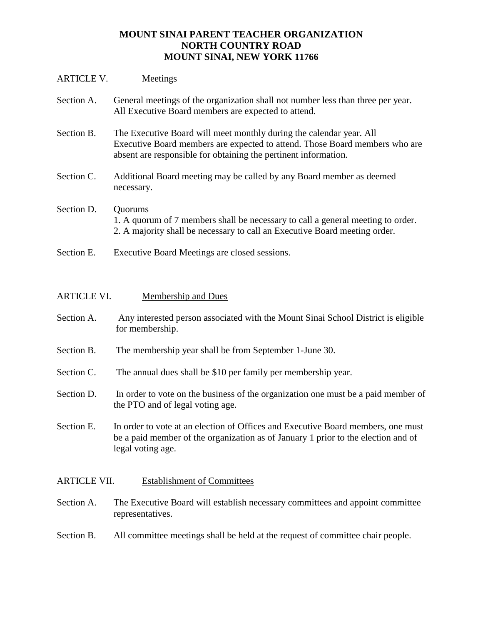### ARTICLE V. Meetings

| Section A. | General meetings of the organization shall not number less than three per year.<br>All Executive Board members are expected to attend.                                                                                |
|------------|-----------------------------------------------------------------------------------------------------------------------------------------------------------------------------------------------------------------------|
| Section B. | The Executive Board will meet monthly during the calendar year. All<br>Executive Board members are expected to attend. Those Board members who are<br>absent are responsible for obtaining the pertinent information. |
| Section C. | Additional Board meeting may be called by any Board member as deemed<br>necessary.                                                                                                                                    |
| Section D. | Quorums<br>1. A quorum of 7 members shall be necessary to call a general meeting to order.<br>2. A majority shall be necessary to call an Executive Board meeting order.                                              |

Section E. Executive Board Meetings are closed sessions.

| <b>ARTICLE VI.</b> | Membership and Dues                                                                                                                                                                        |
|--------------------|--------------------------------------------------------------------------------------------------------------------------------------------------------------------------------------------|
| Section A.         | Any interested person associated with the Mount Sinai School District is eligible<br>for membership.                                                                                       |
| Section B.         | The membership year shall be from September 1-June 30.                                                                                                                                     |
| Section C.         | The annual dues shall be \$10 per family per membership year.                                                                                                                              |
| Section D.         | In order to vote on the business of the organization one must be a paid member of<br>the PTO and of legal voting age.                                                                      |
| Section E.         | In order to vote at an election of Offices and Executive Board members, one must<br>be a paid member of the organization as of January 1 prior to the election and of<br>legal voting age. |

## ARTICLE VII. Establishment of Committees

Section A. The Executive Board will establish necessary committees and appoint committee representatives.

# Section B. All committee meetings shall be held at the request of committee chair people.